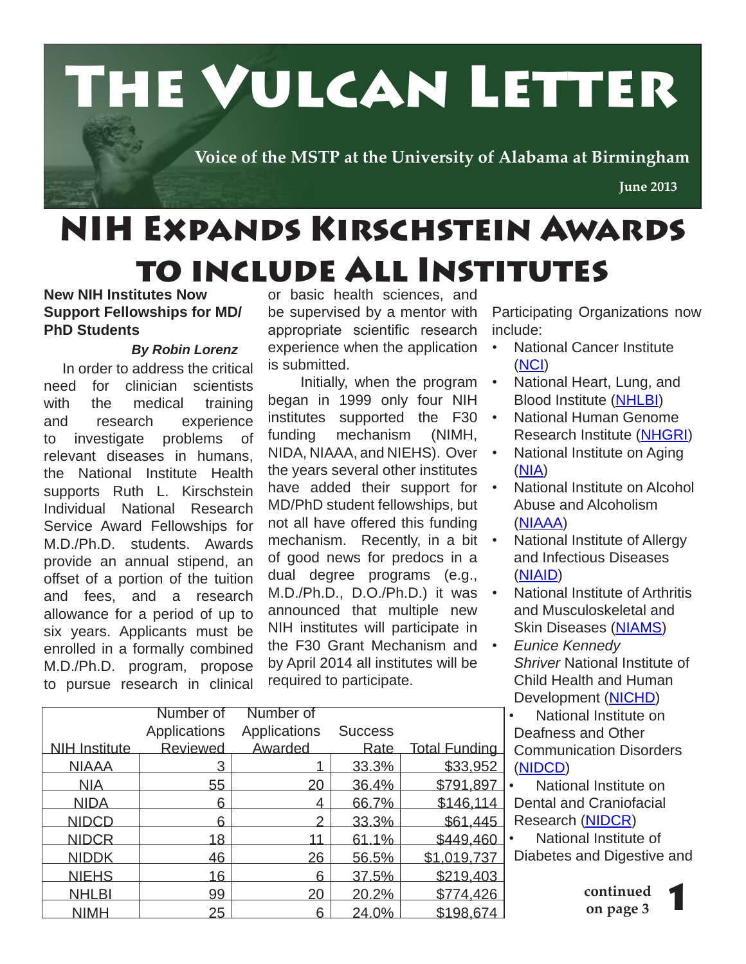

# NIH Expands Kirschstein Awards to include All Institutes

#### **New NIH Institutes Now Support Fellowships for MD/ PhD Students**

#### *By Robin Lorenz*

 In order to address the critical need for clinician scientists with the medical training and research experience to investigate problems of relevant diseases in humans, the National Institute Health supports Ruth L. Kirschstein Individual National Research Service Award Fellowships for M.D./Ph.D. students. Awards provide an annual stipend, an offset of a portion of the tuition and fees, and a research allowance for a period of up to six years. Applicants must be enrolled in a formally combined M.D./Ph.D. program, propose to pursue research in clinical or basic health sciences, and be supervised by a mentor with appropriate scientific research experience when the application is submitted.

 Initially, when the program began in 1999 only four NIH institutes supported the F30  $\cdot$ funding mechanism (NIMH, NIDA, NIAAA, and NIEHS). Over the years several other institutes have added their support for  $\cdot$ MD/PhD student fellowships, but not all have offered this funding mechanism. Recently, in a bit • of good news for predocs in a dual degree programs (e.g., M.D./Ph.D., D.O./Ph.D.) it was announced that multiple new NIH institutes will participate in the F30 Grant Mechanism and • by April 2014 all institutes will be required to participate.

Participating Organizations now include:

- National Cancer Institute (NCI)
- National Heart, Lung, and Blood Institute (NHLBI)
- National Human Genome Research Institute (NHGRI)
- National Institute on Aging (NIA)
- National Institute on Alcohol Abuse and Alcoholism (NIAAA)
- National Institute of Allergy and Infectious Diseases (NIAID)
- National Institute of Arthritis and Musculoskeletal and Skin Diseases (NIAMS)
	- *Eunice Kennedy Shriver* National Institute of Child Health and Human Development (NICHD)
		- National Institute on Deafness and Other Communication Disorders (NIDCD)

• National Institute on Dental and Craniofacial Research (NIDCR)

• National Institute of Diabetes and Digestive and

> **continued on page 3**

|                      | Number of       | Number of    |                |                      |
|----------------------|-----------------|--------------|----------------|----------------------|
|                      | Applications    | Applications | <b>Success</b> |                      |
| <b>NIH Institute</b> | <b>Reviewed</b> | Awarded      | <u>Rate</u>    | <b>Total Funding</b> |
| <b>NIAAA</b>         | 3               |              | 33.3%          | \$33,952             |
| <b>NIA</b>           | 55              | 20           | 36.4%          | \$791,897            |
| <b>NIDA</b>          | 6               | 4            | 66.7%          | \$146,114            |
| <b>NIDCD</b>         | 6               |              | 33.3%          | \$61,445             |
| <b>NIDCR</b>         | 18              |              | 61.1%          | \$449,460            |
| <b>NIDDK</b>         | 46              | 26           | 56.5%          | \$1,019,737          |
| <b>NIEHS</b>         | 16              | հ            | 37.5%          | \$219,403            |
| <b>NHLBI</b>         | 99              | 20           | 20.2%          | \$774,426            |
| <b>NIMH</b>          | 25              | ൳            | 24.0%          | \$198,674            |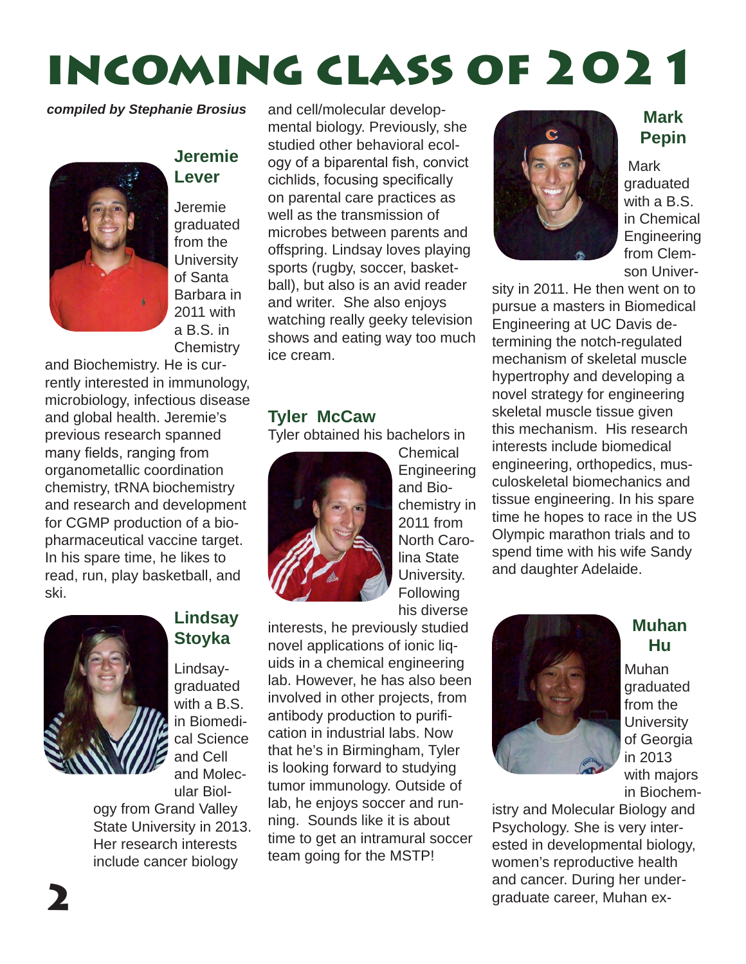# incoming class of 2021

*compiled by Stephanie Brosius*



#### **Jeremie Lever**

Jeremie graduated from the **University** of Santa Barbara in 2011 with a B.S. in **Chemistry** 

and Biochemistry. He is currently interested in immunology, microbiology, infectious disease and global health. Jeremie's previous research spanned many fields, ranging from organometallic coordination chemistry, tRNA biochemistry and research and development for CGMP production of a biopharmaceutical vaccine target. In his spare time, he likes to read, run, play basketball, and ski.



#### **Lindsay Stoyka**

Lindsaygraduated with a B.S. in Biomedical Science and Cell and Molecular Biol-

ogy from Grand Valley State University in 2013. Her research interests include cancer biology

and cell/molecular developmental biology. Previously, she studied other behavioral ecology of a biparental fish, convict cichlids, focusing specifically on parental care practices as well as the transmission of microbes between parents and offspring. Lindsay loves playing sports (rugby, soccer, basketball), but also is an avid reader and writer. She also enjoys watching really geeky television shows and eating way too much ice cream.

#### **Tyler McCaw**

Tyler obtained his bachelors in



**Chemical Engineering** and Biochemistry in 2011 from North Carolina State University. **Following** his diverse

interests, he previously studied novel applications of ionic liquids in a chemical engineering lab. However, he has also been involved in other projects, from antibody production to purification in industrial labs. Now that he's in Birmingham, Tyler is looking forward to studying tumor immunology. Outside of lab, he enjoys soccer and running. Sounds like it is about time to get an intramural soccer team going for the MSTP!



**Mark Pepin**

 Mark graduated with a B.S. in Chemical **Engineering** from Clemson Univer-

sity in 2011. He then went on to pursue a masters in Biomedical Engineering at UC Davis determining the notch-regulated mechanism of skeletal muscle hypertrophy and developing a novel strategy for engineering skeletal muscle tissue given this mechanism. His research interests include biomedical engineering, orthopedics, musculoskeletal biomechanics and tissue engineering. In his spare time he hopes to race in the US Olympic marathon trials and to spend time with his wife Sandy and daughter Adelaide.



#### **Muhan Hu**

Muhan graduated from the **University** of Georgia in 2013 with majors in Biochem-

istry and Molecular Biology and Psychology. She is very interested in developmental biology, women's reproductive health and cancer. During her undergraduate career, Muhan ex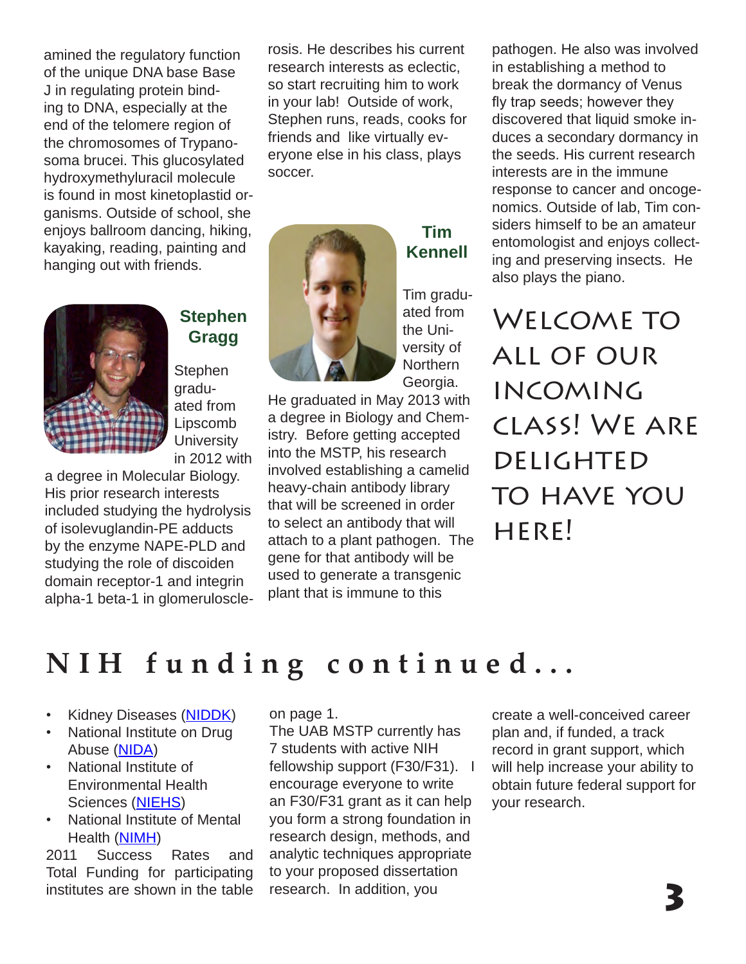amined the regulatory function of the unique DNA base Base J in regulating protein binding to DNA, especially at the end of the telomere region of the chromosomes of Trypanosoma brucei. This glucosylated hydroxymethyluracil molecule is found in most kinetoplastid organisms. Outside of school, she enjoys ballroom dancing, hiking, kayaking, reading, painting and hanging out with friends.



#### **Stephen Gragg**

**Stephen** graduated from Lipscomb **University** in 2012 with

a degree in Molecular Biology. His prior research interests included studying the hydrolysis of isolevuglandin-PE adducts by the enzyme NAPE-PLD and studying the role of discoiden domain receptor-1 and integrin alpha-1 beta-1 in glomeruloscle-

rosis. He describes his current research interests as eclectic, so start recruiting him to work in your lab! Outside of work, Stephen runs, reads, cooks for friends and like virtually everyone else in his class, plays soccer.



**Kennell** Tim graduated from the Uni-

versity of

**Tim** 

**Northern** Georgia. He graduated in May 2013 with a degree in Biology and Chemistry. Before getting accepted into the MSTP, his research involved establishing a camelid heavy-chain antibody library that will be screened in order to select an antibody that will attach to a plant pathogen. The gene for that antibody will be used to generate a transgenic plant that is immune to this

pathogen. He also was involved in establishing a method to break the dormancy of Venus fly trap seeds; however they discovered that liquid smoke induces a secondary dormancy in the seeds. His current research interests are in the immune response to cancer and oncogenomics. Outside of lab, Tim considers himself to be an amateur entomologist and enjoys collecting and preserving insects. He also plays the piano.

Welcome to all of our incoming class! We are **DELIGHTED** TO HAVE YOU  $HFRF$ 

### **NIH funding continued...**

- Kidney Diseases (NIDDK)
- National Institute on Drug Abuse (NIDA)
- National Institute of Environmental Health Sciences (NIEHS)
- National Institute of Mental Health (NIMH)

2011 Success Rates and Total Funding for participating institutes are shown in the table on page 1.

The UAB MSTP currently has 7 students with active NIH fellowship support (F30/F31). I encourage everyone to write an F30/F31 grant as it can help you form a strong foundation in research design, methods, and analytic techniques appropriate to your proposed dissertation research. In addition, you

create a well-conceived career plan and, if funded, a track record in grant support, which will help increase your ability to obtain future federal support for your research.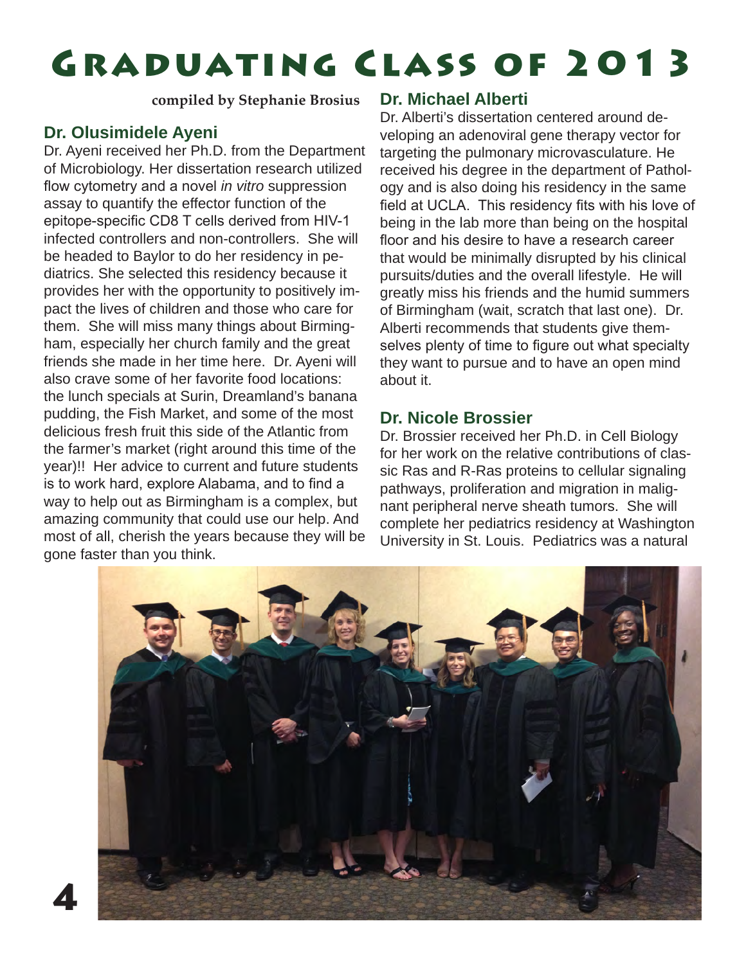# Graduating Class of 2013

**compiled by Stephanie Brosius**

#### **Dr. Olusimidele Ayeni**

Dr. Ayeni received her Ph.D. from the Department of Microbiology. Her dissertation research utilized flow cytometry and a novel *in vitro* suppression assay to quantify the effector function of the epitope-specific CD8 T cells derived from HIV-1 infected controllers and non-controllers. She will be headed to Baylor to do her residency in pediatrics. She selected this residency because it provides her with the opportunity to positively impact the lives of children and those who care for them. She will miss many things about Birmingham, especially her church family and the great friends she made in her time here. Dr. Ayeni will also crave some of her favorite food locations: the lunch specials at Surin, Dreamland's banana pudding, the Fish Market, and some of the most delicious fresh fruit this side of the Atlantic from the farmer's market (right around this time of the year)!! Her advice to current and future students is to work hard, explore Alabama, and to find a way to help out as Birmingham is a complex, but amazing community that could use our help. And most of all, cherish the years because they will be gone faster than you think.

#### **Dr. Michael Alberti**

Dr. Alberti's dissertation centered around developing an adenoviral gene therapy vector for targeting the pulmonary microvasculature. He received his degree in the department of Pathology and is also doing his residency in the same field at UCLA. This residency fits with his love of being in the lab more than being on the hospital floor and his desire to have a research career that would be minimally disrupted by his clinical pursuits/duties and the overall lifestyle. He will greatly miss his friends and the humid summers of Birmingham (wait, scratch that last one). Dr. Alberti recommends that students give themselves plenty of time to figure out what specialty they want to pursue and to have an open mind about it.

#### **Dr. Nicole Brossier**

Dr. Brossier received her Ph.D. in Cell Biology for her work on the relative contributions of classic Ras and R-Ras proteins to cellular signaling pathways, proliferation and migration in malignant peripheral nerve sheath tumors. She will complete her pediatrics residency at Washington University in St. Louis. Pediatrics was a natural

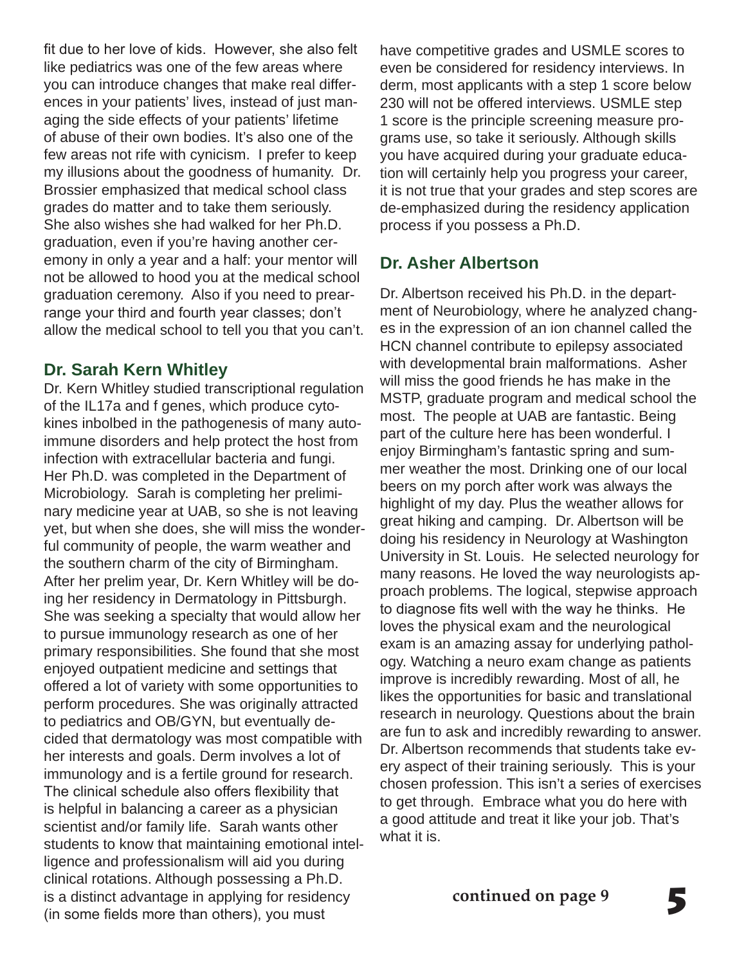fit due to her love of kids. However, she also felt like pediatrics was one of the few areas where you can introduce changes that make real differences in your patients' lives, instead of just managing the side effects of your patients' lifetime of abuse of their own bodies. It's also one of the few areas not rife with cynicism. I prefer to keep my illusions about the goodness of humanity. Dr. Brossier emphasized that medical school class grades do matter and to take them seriously. She also wishes she had walked for her Ph.D. graduation, even if you're having another ceremony in only a year and a half: your mentor will not be allowed to hood you at the medical school graduation ceremony. Also if you need to prearrange your third and fourth year classes; don't allow the medical school to tell you that you can't.

#### **Dr. Sarah Kern Whitley**

Dr. Kern Whitley studied transcriptional regulation of the IL17a and f genes, which produce cytokines inbolbed in the pathogenesis of many autoimmune disorders and help protect the host from infection with extracellular bacteria and fungi. Her Ph.D. was completed in the Department of Microbiology. Sarah is completing her preliminary medicine year at UAB, so she is not leaving yet, but when she does, she will miss the wonderful community of people, the warm weather and the southern charm of the city of Birmingham. After her prelim year, Dr. Kern Whitley will be doing her residency in Dermatology in Pittsburgh. She was seeking a specialty that would allow her to pursue immunology research as one of her primary responsibilities. She found that she most enjoyed outpatient medicine and settings that offered a lot of variety with some opportunities to perform procedures. She was originally attracted to pediatrics and OB/GYN, but eventually decided that dermatology was most compatible with her interests and goals. Derm involves a lot of immunology and is a fertile ground for research. The clinical schedule also offers flexibility that is helpful in balancing a career as a physician scientist and/or family life. Sarah wants other students to know that maintaining emotional intelligence and professionalism will aid you during clinical rotations. Although possessing a Ph.D. is a distinct advantage in applying for residency (in some fields more than others), you must

have competitive grades and USMLE scores to even be considered for residency interviews. In derm, most applicants with a step 1 score below 230 will not be offered interviews. USMLE step 1 score is the principle screening measure programs use, so take it seriously. Although skills you have acquired during your graduate education will certainly help you progress your career, it is not true that your grades and step scores are de-emphasized during the residency application process if you possess a Ph.D.

#### **Dr. Asher Albertson**

Dr. Albertson received his Ph.D. in the department of Neurobiology, where he analyzed changes in the expression of an ion channel called the HCN channel contribute to epilepsy associated with developmental brain malformations. Asher will miss the good friends he has make in the MSTP, graduate program and medical school the most. The people at UAB are fantastic. Being part of the culture here has been wonderful. I enjoy Birmingham's fantastic spring and summer weather the most. Drinking one of our local beers on my porch after work was always the highlight of my day. Plus the weather allows for great hiking and camping. Dr. Albertson will be doing his residency in Neurology at Washington University in St. Louis. He selected neurology for many reasons. He loved the way neurologists approach problems. The logical, stepwise approach to diagnose fits well with the way he thinks. He loves the physical exam and the neurological exam is an amazing assay for underlying pathology. Watching a neuro exam change as patients improve is incredibly rewarding. Most of all, he likes the opportunities for basic and translational research in neurology. Questions about the brain are fun to ask and incredibly rewarding to answer. Dr. Albertson recommends that students take every aspect of their training seriously. This is your chosen profession. This isn't a series of exercises to get through. Embrace what you do here with a good attitude and treat it like your job. That's what it is.

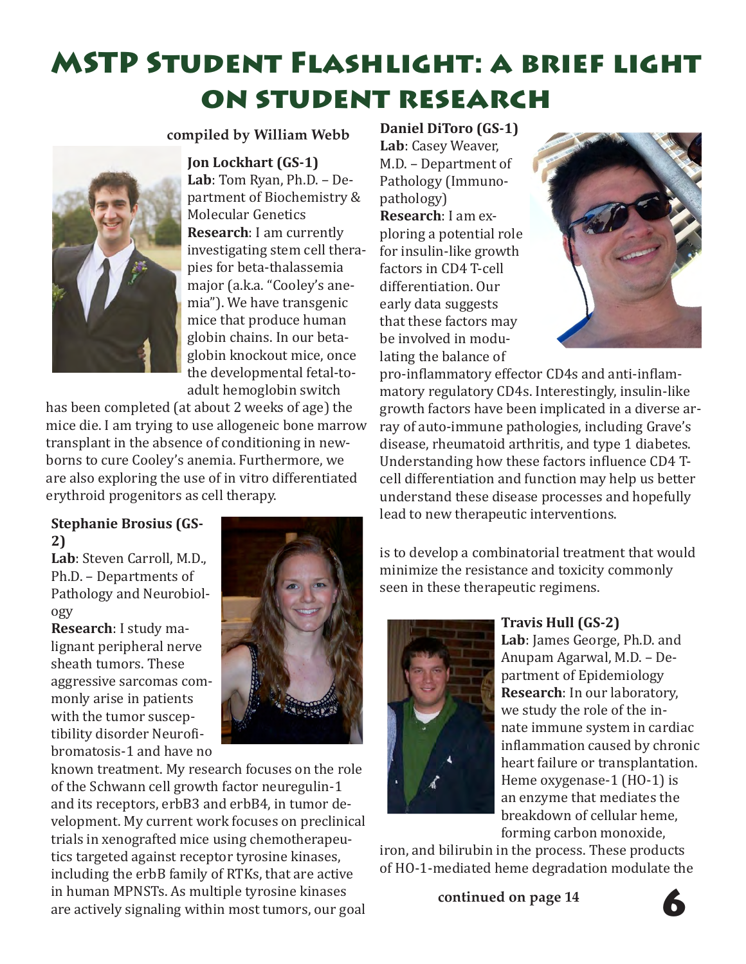### MSTP Student Flashlight: a brief light on student research

#### **compiled by William Webb**

**Jon Lockhart (GS-1)**



**Lab**: Tom Ryan, Ph.D. – Department of Biochemistry & Molecular Genetics **Research**: I am currently investigating stem cell therapies for beta-thalassemia major (a.k.a. "Cooley's anemia"). We have transgenic mice that produce human globin chains. In our betaglobin knockout mice, once the developmental fetal-toadult hemoglobin switch

has been completed (at about 2 weeks of age) the mice die. I am trying to use allogeneic bone marrow transplant in the absence of conditioning in newborns to cure Cooley's anemia. Furthermore, we are also exploring the use of in vitro differentiated erythroid progenitors as cell therapy.

### **2)**

**Lab**: Steven Carroll, M.D., Ph.D. – Departments of Pathology and Neurobiology

**Research**: I study malignant peripheral nerve sheath tumors. These aggressive sarcomas commonly arise in patients with the tumor susceptibility disorder Neurofibromatosis-1 and have no



known treatment. My research focuses on the role of the Schwann cell growth factor neuregulin-1 and its receptors, erbB3 and erbB4, in tumor development. My current work focuses on preclinical trials in xenografted mice using chemotherapeutics targeted against receptor tyrosine kinases, including the erbB family of RTKs, that are active in human MPNSTs. As multiple tyrosine kinases are actively signaling within most tumors, our goal

**Daniel DiToro (GS-1) Lab**: Casey Weaver, M.D. – Department of Pathology (Immunopathology) **Research**: I am exploring a potential role for insulin-like growth factors in CD4 T-cell differentiation. Our early data suggests that these factors may be involved in modulating the balance of



pro-inflammatory effector CD4s and anti-inflammatory regulatory CD4s. Interestingly, insulin-like growth factors have been implicated in a diverse array of auto-immune pathologies, including Grave's disease, rheumatoid arthritis, and type 1 diabetes. Understanding how these factors influence CD4 Tcell differentiation and function may help us better understand these disease processes and hopefully lead to new therapeutic interventions. **Stephanie Brosius (GS-**

> is to develop a combinatorial treatment that would minimize the resistance and toxicity commonly seen in these therapeutic regimens.



#### **Travis Hull (GS-2)**

**Lab**: James George, Ph.D. and Anupam Agarwal, M.D. – Department of Epidemiology **Research**: In our laboratory, we study the role of the innate immune system in cardiac inflammation caused by chronic heart failure or transplantation. Heme oxygenase-1 (HO-1) is an enzyme that mediates the breakdown of cellular heme, forming carbon monoxide,

iron, and bilirubin in the process. These products of HO-1-mediated heme degradation modulate the

**continued on page 14**

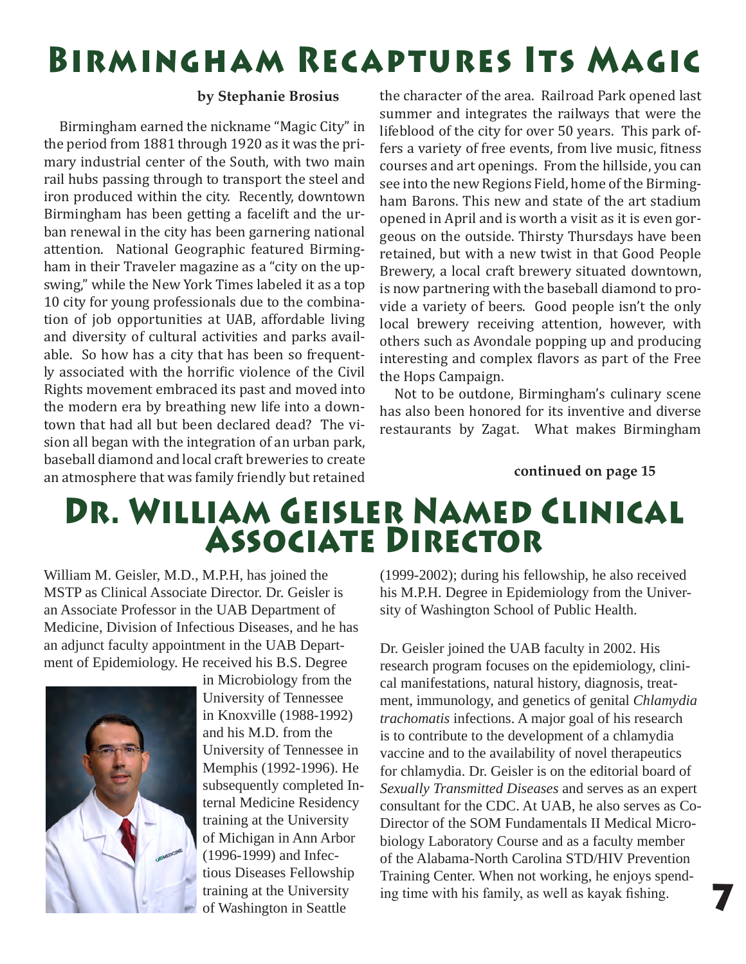# Birmingham Recaptures Its Magic

#### **by Stephanie Brosius**

 Birmingham earned the nickname "Magic City" in the period from 1881 through 1920 as it was the primary industrial center of the South, with two main rail hubs passing through to transport the steel and iron produced within the city. Recently, downtown Birmingham has been getting a facelift and the urban renewal in the city has been garnering national attention. National Geographic featured Birmingham in their Traveler magazine as a "city on the upswing," while the New York Times labeled it as a top 10 city for young professionals due to the combination of job opportunities at UAB, affordable living and diversity of cultural activities and parks available. So how has a city that has been so frequently associated with the horrific violence of the Civil Rights movement embraced its past and moved into the modern era by breathing new life into a downtown that had all but been declared dead? The vision all began with the integration of an urban park, baseball diamond and local craft breweries to create an atmosphere that was family friendly but retained the character of the area. Railroad Park opened last summer and integrates the railways that were the lifeblood of the city for over 50 years. This park offers a variety of free events, from live music, fitness courses and art openings. From the hillside, you can see into the new Regions Field, home of the Birmingham Barons. This new and state of the art stadium opened in April and is worth a visit as it is even gorgeous on the outside. Thirsty Thursdays have been retained, but with a new twist in that Good People Brewery, a local craft brewery situated downtown, is now partnering with the baseball diamond to provide a variety of beers. Good people isn't the only local brewery receiving attention, however, with others such as Avondale popping up and producing interesting and complex flavors as part of the Free the Hops Campaign.

 Not to be outdone, Birmingham's culinary scene has also been honored for its inventive and diverse restaurants by Zagat. What makes Birmingham

#### **continued on page 15**

### Dr. William Geisler Named Clinical Associate Director

William M. Geisler, M.D., M.P.H, has joined the MSTP as Clinical Associate Director. Dr. Geisler is an Associate Professor in the UAB Department of Medicine, Division of Infectious Diseases, and he has an adjunct faculty appointment in the UAB Department of Epidemiology. He received his B.S. Degree



in Microbiology from the University of Tennessee in Knoxville (1988-1992) and his M.D. from the University of Tennessee in Memphis (1992-1996). He subsequently completed Internal Medicine Residency training at the University of Michigan in Ann Arbor (1996-1999) and Infectious Diseases Fellowship training at the University of Washington in Seattle

(1999-2002); during his fellowship, he also received his M.P.H. Degree in Epidemiology from the University of Washington School of Public Health.

Dr. Geisler joined the UAB faculty in 2002. His research program focuses on the epidemiology, clinical manifestations, natural history, diagnosis, treatment, immunology, and genetics of genital *Chlamydia trachomatis* infections. A major goal of his research is to contribute to the development of a chlamydia vaccine and to the availability of novel therapeutics for chlamydia. Dr. Geisler is on the editorial board of *Sexually Transmitted Diseases* and serves as an expert consultant for the CDC. At UAB, he also serves as Co-Director of the SOM Fundamentals II Medical Microbiology Laboratory Course and as a faculty member of the Alabama-North Carolina STD/HIV Prevention Training Center. When not working, he enjoys spending time with his family, as well as kayak fishing.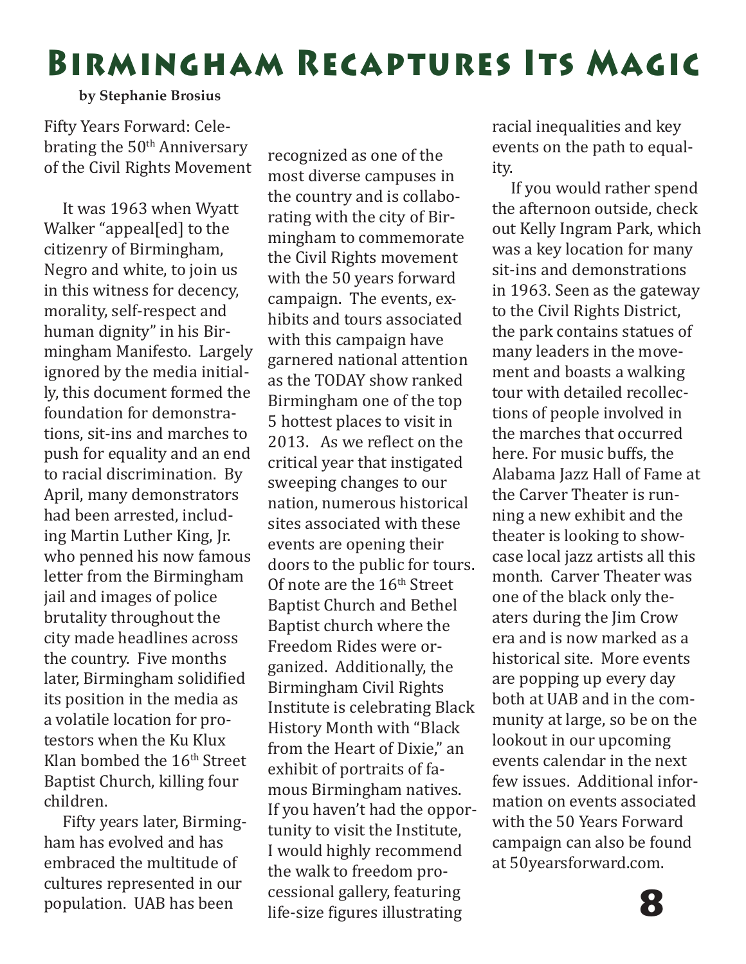# Birmingham Recaptures Its Magic

#### **by Stephanie Brosius**

Fifty Years Forward: Celebrating the  $50<sup>th</sup>$  Anniversary of the Civil Rights Movement

 It was 1963 when Wyatt Walker "appeal[ed] to the citizenry of Birmingham, Negro and white, to join us in this witness for decency, morality, self-respect and human dignity" in his Birmingham Manifesto. Largely ignored by the media initially, this document formed the foundation for demonstrations, sit-ins and marches to push for equality and an end to racial discrimination. By April, many demonstrators had been arrested, including Martin Luther King, Jr. who penned his now famous letter from the Birmingham jail and images of police brutality throughout the city made headlines across the country. Five months later, Birmingham solidified its position in the media as a volatile location for protestors when the Ku Klux Klan bombed the 16<sup>th</sup> Street Baptist Church, killing four children.

 Fifty years later, Birmingham has evolved and has embraced the multitude of cultures represented in our population. UAB has been

recognized as one of the most diverse campuses in the country and is collaborating with the city of Birmingham to commemorate the Civil Rights movement with the 50 years forward campaign. The events, exhibits and tours associated with this campaign have garnered national attention as the TODAY show ranked Birmingham one of the top 5 hottest places to visit in 2013. As we reflect on the critical year that instigated sweeping changes to our nation, numerous historical sites associated with these events are opening their doors to the public for tours. Of note are the  $16<sup>th</sup>$  Street Baptist Church and Bethel Baptist church where the Freedom Rides were organized. Additionally, the Birmingham Civil Rights Institute is celebrating Black History Month with "Black from the Heart of Dixie," an exhibit of portraits of famous Birmingham natives. If you haven't had the opportunity to visit the Institute, I would highly recommend the walk to freedom processional gallery, featuring life-size figures illustrating

racial inequalities and key events on the path to equality.

 If you would rather spend the afternoon outside, check out Kelly Ingram Park, which was a key location for many sit-ins and demonstrations in 1963. Seen as the gateway to the Civil Rights District, the park contains statues of many leaders in the movement and boasts a walking tour with detailed recollections of people involved in the marches that occurred here. For music buffs, the Alabama Jazz Hall of Fame at the Carver Theater is running a new exhibit and the theater is looking to showcase local jazz artists all this month. Carver Theater was one of the black only theaters during the Jim Crow era and is now marked as a historical site. More events are popping up every day both at UAB and in the community at large, so be on the lookout in our upcoming events calendar in the next few issues. Additional information on events associated with the 50 Years Forward campaign can also be found at 50yearsforward.com.

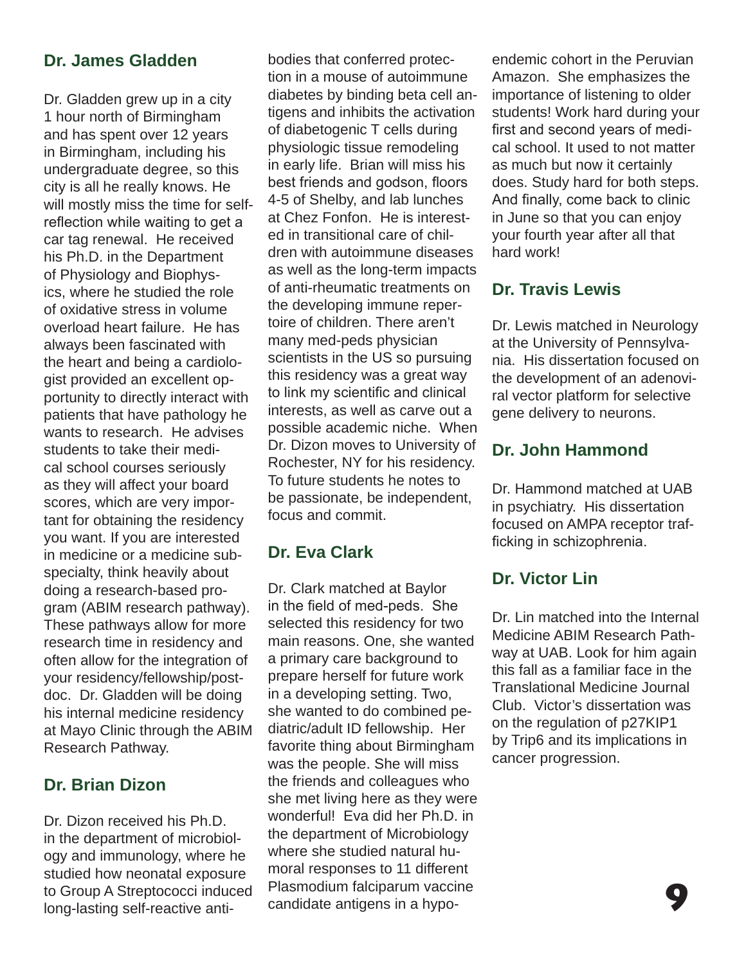#### **Dr. James Gladden**

Dr. Gladden grew up in a city 1 hour north of Birmingham and has spent over 12 years in Birmingham, including his undergraduate degree, so this city is all he really knows. He will mostly miss the time for selfreflection while waiting to get a car tag renewal. He received his Ph.D. in the Department of Physiology and Biophysics, where he studied the role of oxidative stress in volume overload heart failure. He has always been fascinated with the heart and being a cardiologist provided an excellent opportunity to directly interact with patients that have pathology he wants to research. He advises students to take their medical school courses seriously as they will affect your board scores, which are very important for obtaining the residency you want. If you are interested in medicine or a medicine subspecialty, think heavily about doing a research-based program (ABIM research pathway). These pathways allow for more research time in residency and often allow for the integration of your residency/fellowship/postdoc. Dr. Gladden will be doing his internal medicine residency at Mayo Clinic through the ABIM Research Pathway.

#### **Dr. Brian Dizon**

Dr. Dizon received his Ph.D. in the department of microbiology and immunology, where he studied how neonatal exposure to Group A Streptococci induced long-lasting self-reactive antibodies that conferred protection in a mouse of autoimmune diabetes by binding beta cell antigens and inhibits the activation of diabetogenic T cells during physiologic tissue remodeling in early life. Brian will miss his best friends and godson, floors 4-5 of Shelby, and lab lunches at Chez Fonfon. He is interested in transitional care of children with autoimmune diseases as well as the long-term impacts of anti-rheumatic treatments on the developing immune repertoire of children. There aren't many med-peds physician scientists in the US so pursuing this residency was a great way to link my scientific and clinical interests, as well as carve out a possible academic niche. When Dr. Dizon moves to University of Rochester, NY for his residency. To future students he notes to be passionate, be independent, focus and commit.

#### **Dr. Eva Clark**

Dr. Clark matched at Baylor in the field of med-peds. She selected this residency for two main reasons. One, she wanted a primary care background to prepare herself for future work in a developing setting. Two, she wanted to do combined pediatric/adult ID fellowship. Her favorite thing about Birmingham was the people. She will miss the friends and colleagues who she met living here as they were wonderful! Eva did her Ph.D. in the department of Microbiology where she studied natural humoral responses to 11 different Plasmodium falciparum vaccine candidate antigens in a hypoendemic cohort in the Peruvian Amazon. She emphasizes the importance of listening to older students! Work hard during your first and second years of medical school. It used to not matter as much but now it certainly does. Study hard for both steps. And finally, come back to clinic in June so that you can enjoy your fourth year after all that hard work!

#### **Dr. Travis Lewis**

Dr. Lewis matched in Neurology at the University of Pennsylvania. His dissertation focused on the development of an adenoviral vector platform for selective gene delivery to neurons.

#### **Dr. John Hammond**

Dr. Hammond matched at UAB in psychiatry. His dissertation focused on AMPA receptor trafficking in schizophrenia.

#### **Dr. Victor Lin**

Dr. Lin matched into the Internal Medicine ABIM Research Pathway at UAB. Look for him again this fall as a familiar face in the Translational Medicine Journal Club. Victor's dissertation was on the regulation of p27KIP1 by Trip6 and its implications in cancer progression.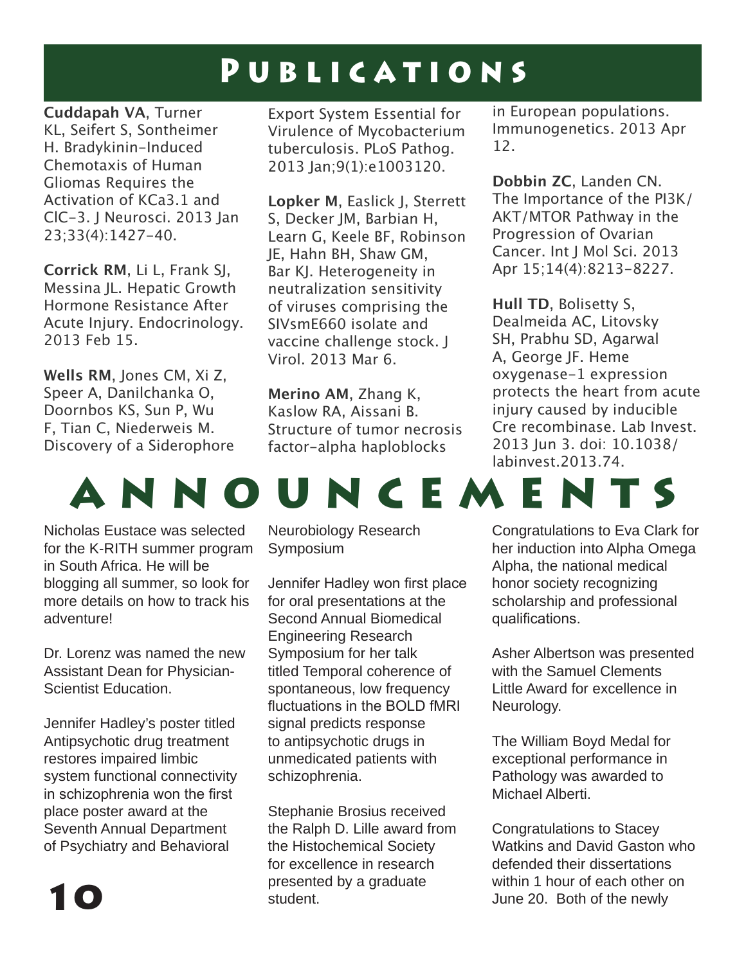### PUBLICATIONS

**Cuddapah VA**, Turner KL, Seifert S, Sontheimer H. Bradykinin-Induced Chemotaxis of Human Gliomas Requires the Activation of KCa3.1 and ClC-3. J Neurosci. 2013 Jan 23;33(4):1427-40.

**Corrick RM**, Li L, Frank SJ, Messina JL. Hepatic Growth Hormone Resistance After Acute Injury. Endocrinology. 2013 Feb 15.

**Wells RM**, Jones CM, Xi Z, Speer A, Danilchanka O, Doornbos KS, Sun P, Wu F, Tian C, Niederweis M. Discovery of a Siderophore

Export System Essential for Virulence of Mycobacterium tuberculosis. PLoS Pathog. 2013 Jan;9(1):e1003120.

**Lopker M**, Easlick J, Sterrett S, Decker JM, Barbian H, Learn G, Keele BF, Robinson JE, Hahn BH, Shaw GM, Bar KJ. Heterogeneity in neutralization sensitivity of viruses comprising the SIVsmE660 isolate and vaccine challenge stock. J Virol. 2013 Mar 6.

**Merino AM**, Zhang K, Kaslow RA, Aissani B. Structure of tumor necrosis factor-alpha haploblocks

in European populations. Immunogenetics. 2013 Apr 12.

**Dobbin ZC**, Landen CN. The Importance of the PI3K/ AKT/MTOR Pathway in the Progression of Ovarian Cancer. Int J Mol Sci. 2013 Apr 15;14(4):8213-8227.

**Hull TD**, Bolisetty S, Dealmeida AC, Litovsky SH, Prabhu SD, Agarwal A, George JF. Heme oxygenase-1 expression protects the heart from acute injury caused by inducible Cre recombinase. Lab Invest. 2013 Jun 3. doi: 10.1038/ labinvest.2013.74.



Nicholas Eustace was selected for the K-RITH summer program in South Africa. He will be blogging all summer, so look for more details on how to track his adventure!

Dr. Lorenz was named the new Assistant Dean for Physician-Scientist Education.

Jennifer Hadley's poster titled Antipsychotic drug treatment restores impaired limbic system functional connectivity in schizophrenia won the first place poster award at the Seventh Annual Department of Psychiatry and Behavioral

Neurobiology Research Symposium

Jennifer Hadley won first place for oral presentations at the Second Annual Biomedical Engineering Research Symposium for her talk titled Temporal coherence of spontaneous, low frequency fluctuations in the BOLD fMRI signal predicts response to antipsychotic drugs in unmedicated patients with schizophrenia.

Stephanie Brosius received the Ralph D. Lille award from the Histochemical Society for excellence in research presented by a graduate student.

Congratulations to Eva Clark for her induction into Alpha Omega Alpha, the national medical honor society recognizing scholarship and professional qualifications.

Asher Albertson was presented with the Samuel Clements Little Award for excellence in Neurology.

The William Boyd Medal for exceptional performance in Pathology was awarded to Michael Alberti.

Congratulations to Stacey Watkins and David Gaston who defended their dissertations within 1 hour of each other on June 20. Both of the newly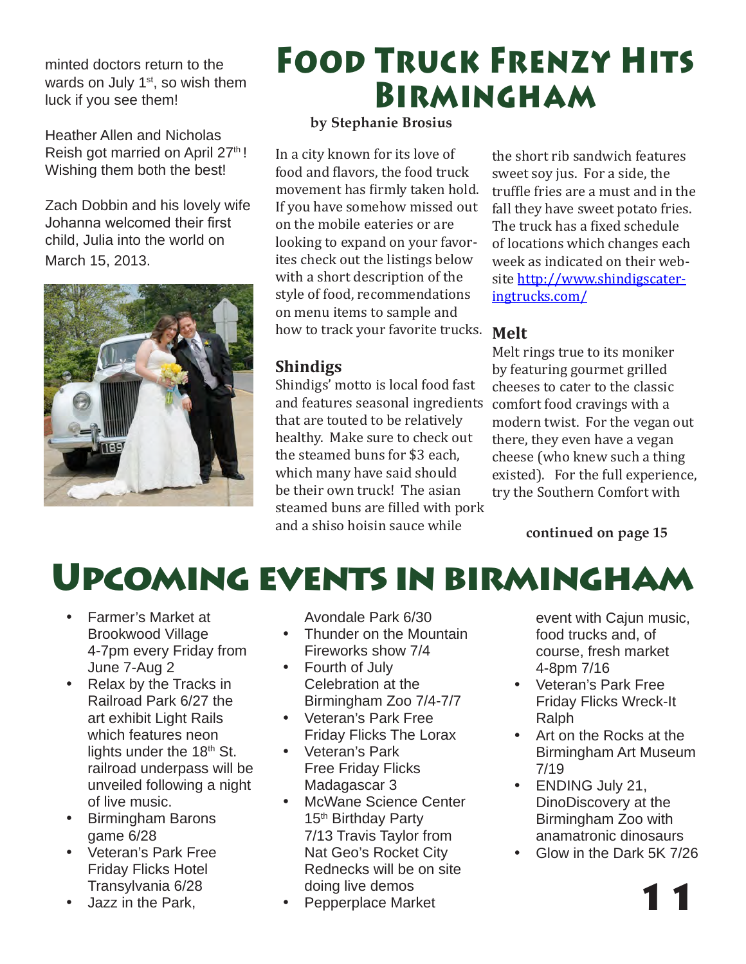minted doctors return to the wards on July 1<sup>st</sup>, so wish them luck if you see them!

Heather Allen and Nicholas Reish got married on April 27<sup>th</sup>! Wishing them both the best!

Zach Dobbin and his lovely wife Johanna welcomed their first child, Julia into the world on March 15, 2013.



# Food Truck Frenzy Hits Birmingham

#### **by Stephanie Brosius**

In a city known for its love of food and flavors, the food truck movement has firmly taken hold. If you have somehow missed out on the mobile eateries or are looking to expand on your favorites check out the listings below with a short description of the style of food, recommendations on menu items to sample and how to track your favorite trucks.

#### **Shindigs**

Shindigs' motto is local food fast and features seasonal ingredients comfort food cravings with a that are touted to be relatively healthy. Make sure to check out the steamed buns for \$3 each, which many have said should be their own truck! The asian steamed buns are filled with pork and a shiso hoisin sauce while

the short rib sandwich features sweet soy jus. For a side, the truffle fries are a must and in the fall they have sweet potato fries. The truck has a fixed schedule of locations which changes each week as indicated on their website http://www.shindigscateringtrucks.com/

#### **Melt**

Melt rings true to its moniker by featuring gourmet grilled cheeses to cater to the classic modern twist. For the vegan out there, they even have a vegan cheese (who knew such a thing existed). For the full experience, try the Southern Comfort with

**continued on page 15**



- Farmer's Market at Brookwood Village 4-7pm every Friday from June 7-Aug 2
- Relax by the Tracks in Railroad Park 6/27 the art exhibit Light Rails which features neon lights under the 18<sup>th</sup> St. railroad underpass will be unveiled following a night of live music.
- • Birmingham Barons game 6/28
- • Veteran's Park Free Friday Flicks Hotel Transylvania 6/28
- **Jazz in the Park.**

Avondale Park 6/30

- Thunder on the Mountain Fireworks show 7/4
- Fourth of July Celebration at the Birmingham Zoo 7/4-7/7
- • Veteran's Park Free Friday Flicks The Lorax
- • Veteran's Park Free Friday Flicks Madagascar 3
- McWane Science Center 15<sup>th</sup> Birthday Party 7/13 Travis Taylor from Nat Geo's Rocket City Rednecks will be on site doing live demos
- Pepperplace Market

event with Cajun music, food trucks and, of course, fresh market 4-8pm 7/16

- • Veteran's Park Free Friday Flicks Wreck-It Ralph
- • Art on the Rocks at the Birmingham Art Museum 7/19
- **ENDING July 21,** DinoDiscovery at the Birmingham Zoo with anamatronic dinosaurs
- Glow in the Dark 5K 7/26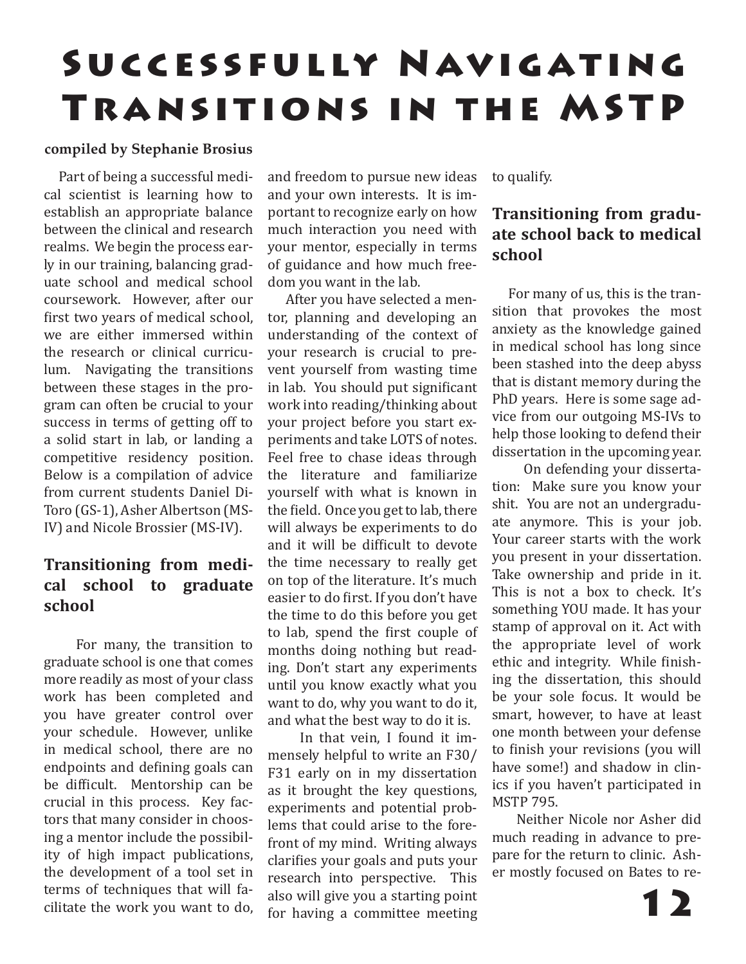# SUCCESSFULLY NAVIGATING Transitions in the MSTP

#### **compiled by Stephanie Brosius**

 Part of being a successful medical scientist is learning how to establish an appropriate balance between the clinical and research realms. We begin the process early in our training, balancing graduate school and medical school coursework. However, after our first two years of medical school, we are either immersed within the research or clinical curriculum. Navigating the transitions between these stages in the program can often be crucial to your success in terms of getting off to a solid start in lab, or landing a competitive residency position. Below is a compilation of advice from current students Daniel Di-Toro (GS-1), Asher Albertson (MS-IV) and Nicole Brossier (MS-IV).

#### **Transitioning from medical school to graduate school**

 For many, the transition to graduate school is one that comes more readily as most of your class work has been completed and you have greater control over your schedule. However, unlike in medical school, there are no endpoints and defining goals can be difficult. Mentorship can be crucial in this process. Key factors that many consider in choosing a mentor include the possibility of high impact publications, the development of a tool set in terms of techniques that will facilitate the work you want to do,

and freedom to pursue new ideas and your own interests. It is important to recognize early on how much interaction you need with your mentor, especially in terms of guidance and how much freedom you want in the lab.

 After you have selected a mentor, planning and developing an understanding of the context of your research is crucial to prevent yourself from wasting time in lab. You should put significant work into reading/thinking about your project before you start experiments and take LOTS of notes. Feel free to chase ideas through the literature and familiarize yourself with what is known in the field. Once you get to lab, there will always be experiments to do and it will be difficult to devote the time necessary to really get on top of the literature. It's much easier to do first. If you don't have the time to do this before you get to lab, spend the first couple of months doing nothing but reading. Don't start any experiments until you know exactly what you want to do, why you want to do it, and what the best way to do it is.

 In that vein, I found it immensely helpful to write an F30/ F31 early on in my dissertation as it brought the key questions, experiments and potential problems that could arise to the forefront of my mind. Writing always clarifies your goals and puts your research into perspective. This also will give you a starting point for having a committee meeting to qualify.

#### **Transitioning from graduate school back to medical school**

 For many of us, this is the transition that provokes the most anxiety as the knowledge gained in medical school has long since been stashed into the deep abyss that is distant memory during the PhD years. Here is some sage advice from our outgoing MS-IVs to help those looking to defend their dissertation in the upcoming year.

 On defending your dissertation: Make sure you know your shit. You are not an undergraduate anymore. This is your job. Your career starts with the work you present in your dissertation. Take ownership and pride in it. This is not a box to check. It's something YOU made. It has your stamp of approval on it. Act with the appropriate level of work ethic and integrity. While finishing the dissertation, this should be your sole focus. It would be smart, however, to have at least one month between your defense to finish your revisions (you will have some!) and shadow in clinics if you haven't participated in MSTP 795.

 Neither Nicole nor Asher did much reading in advance to prepare for the return to clinic. Asher mostly focused on Bates to re-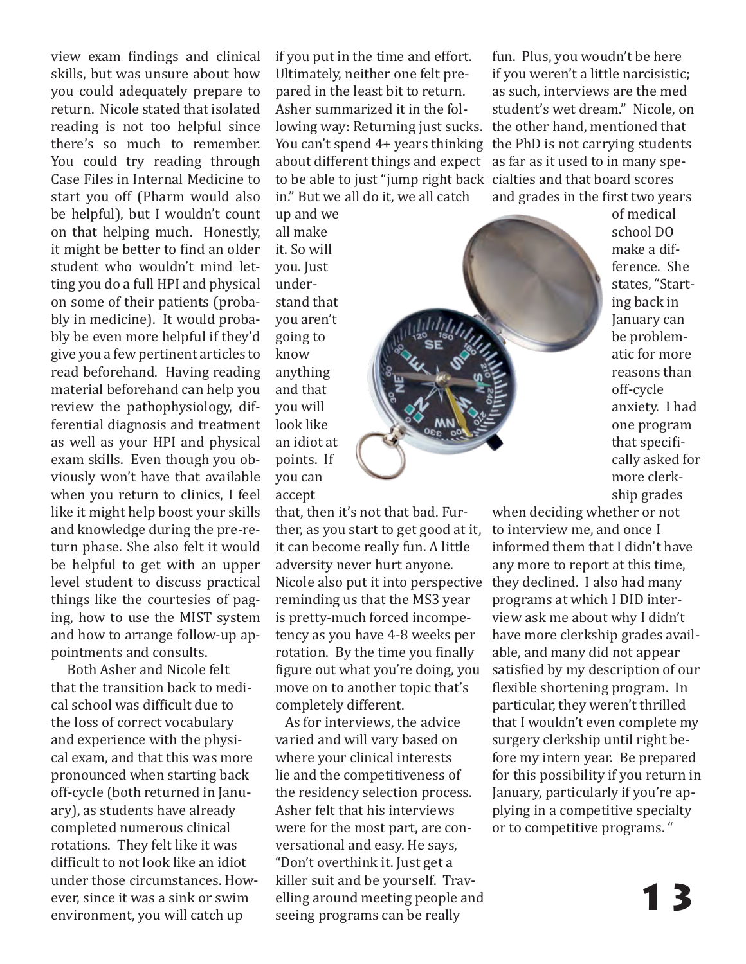view exam findings and clinical skills, but was unsure about how you could adequately prepare to return. Nicole stated that isolated reading is not too helpful since there's so much to remember. You could try reading through Case Files in Internal Medicine to start you off (Pharm would also be helpful), but I wouldn't count on that helping much. Honestly, it might be better to find an older student who wouldn't mind letting you do a full HPI and physical on some of their patients (probably in medicine). It would probably be even more helpful if they'd give you a few pertinent articles to read beforehand. Having reading material beforehand can help you review the pathophysiology, differential diagnosis and treatment as well as your HPI and physical exam skills. Even though you obviously won't have that available when you return to clinics, I feel like it might help boost your skills and knowledge during the pre-return phase. She also felt it would be helpful to get with an upper level student to discuss practical things like the courtesies of paging, how to use the MIST system and how to arrange follow-up appointments and consults.

 Both Asher and Nicole felt that the transition back to medical school was difficult due to the loss of correct vocabulary and experience with the physical exam, and that this was more pronounced when starting back off-cycle (both returned in January), as students have already completed numerous clinical rotations. They felt like it was difficult to not look like an idiot under those circumstances. However, since it was a sink or swim

if you put in the time and effort. Ultimately, neither one felt prepared in the least bit to return. Asher summarized it in the following way: Returning just sucks. the other hand, mentioned that You can't spend 4+ years thinking the PhD is not carrying students about different things and expect as far as it used to in many speto be able to just "jump right back cialties and that board scores in." But we all do it, we all catch

up and we all make it. So will you. Just understand that you aren't going to know anything and that you will look like an idiot at points. If you can accept

that, then it's not that bad. Further, as you start to get good at it, it can become really fun. A little adversity never hurt anyone. Nicole also put it into perspective they declined. I also had many reminding us that the MS3 year is pretty-much forced incompetency as you have 4-8 weeks per rotation. By the time you finally figure out what you're doing, you move on to another topic that's completely different.

ever, since it was a sink or swim elling around meeting people and environment, you will catch up seeing programs can be really As for interviews, the advice varied and will vary based on where your clinical interests lie and the competitiveness of the residency selection process. Asher felt that his interviews were for the most part, are conversational and easy. He says, "Don't overthink it. Just get a killer suit and be yourself. Travelling around meeting people and seeing programs can be really

fun. Plus, you woudn't be here if you weren't a little narcisistic; as such, interviews are the med student's wet dream." Nicole, on and grades in the first two years



of medical school DO make a difference. She states, "Starting back in January can be problematic for more reasons than off-cycle anxiety. I had one program that specifically asked for more clerkship grades

when deciding whether or not to interview me, and once I informed them that I didn't have any more to report at this time, programs at which I DID interview ask me about why I didn't have more clerkship grades available, and many did not appear satisfied by my description of our flexible shortening program. In particular, they weren't thrilled that I wouldn't even complete my surgery clerkship until right before my intern year. Be prepared for this possibility if you return in January, particularly if you're applying in a competitive specialty or to competitive programs. "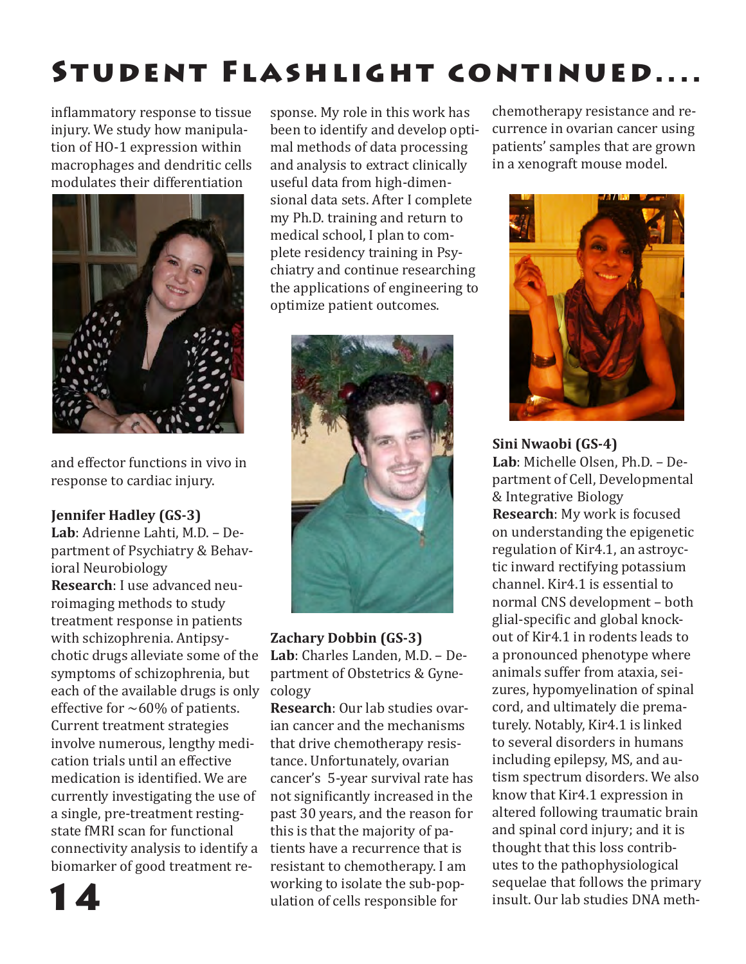# Student Flashlight continued....

inflammatory response to tissue injury. We study how manipulation of HO-1 expression within macrophages and dendritic cells modulates their differentiation



and effector functions in vivo in response to cardiac injury.

#### **Jennifer Hadley (GS-3)**

**Lab**: Adrienne Lahti, M.D. – Department of Psychiatry & Behavioral Neurobiology **Research**: I use advanced neuroimaging methods to study treatment response in patients with schizophrenia. Antipsychotic drugs alleviate some of the symptoms of schizophrenia, but each of the available drugs is only effective for  $~60\%$  of patients. Current treatment strategies involve numerous, lengthy medication trials until an effective medication is identified. We are currently investigating the use of a single, pre-treatment restingstate fMRI scan for functional connectivity analysis to identify a biomarker of good treatment response. My role in this work has been to identify and develop optimal methods of data processing and analysis to extract clinically useful data from high-dimensional data sets. After I complete my Ph.D. training and return to medical school, I plan to complete residency training in Psychiatry and continue researching the applications of engineering to optimize patient outcomes.



#### **Zachary Dobbin (GS-3)**

**Lab**: Charles Landen, M.D. – Department of Obstetrics & Gynecology

**Research**: Our lab studies ovarian cancer and the mechanisms that drive chemotherapy resistance. Unfortunately, ovarian cancer's 5-year survival rate has not significantly increased in the past 30 years, and the reason for this is that the majority of patients have a recurrence that is resistant to chemotherapy. I am working to isolate the sub-population of cells responsible for

chemotherapy resistance and recurrence in ovarian cancer using patients' samples that are grown in a xenograft mouse model.



**Sini Nwaobi (GS-4) Lab**: Michelle Olsen, Ph.D. – Department of Cell, Developmental & Integrative Biology **Research**: My work is focused on understanding the epigenetic regulation of Kir4.1, an astroyctic inward rectifying potassium channel. Kir4.1 is essential to normal CNS development – both glial-specific and global knockout of Kir4.1 in rodents leads to a pronounced phenotype where animals suffer from ataxia, seizures, hypomyelination of spinal cord, and ultimately die prematurely. Notably, Kir4.1 is linked to several disorders in humans including epilepsy, MS, and autism spectrum disorders. We also know that Kir4.1 expression in altered following traumatic brain and spinal cord injury; and it is thought that this loss contributes to the pathophysiological sequelae that follows the primary insult. Our lab studies DNA meth-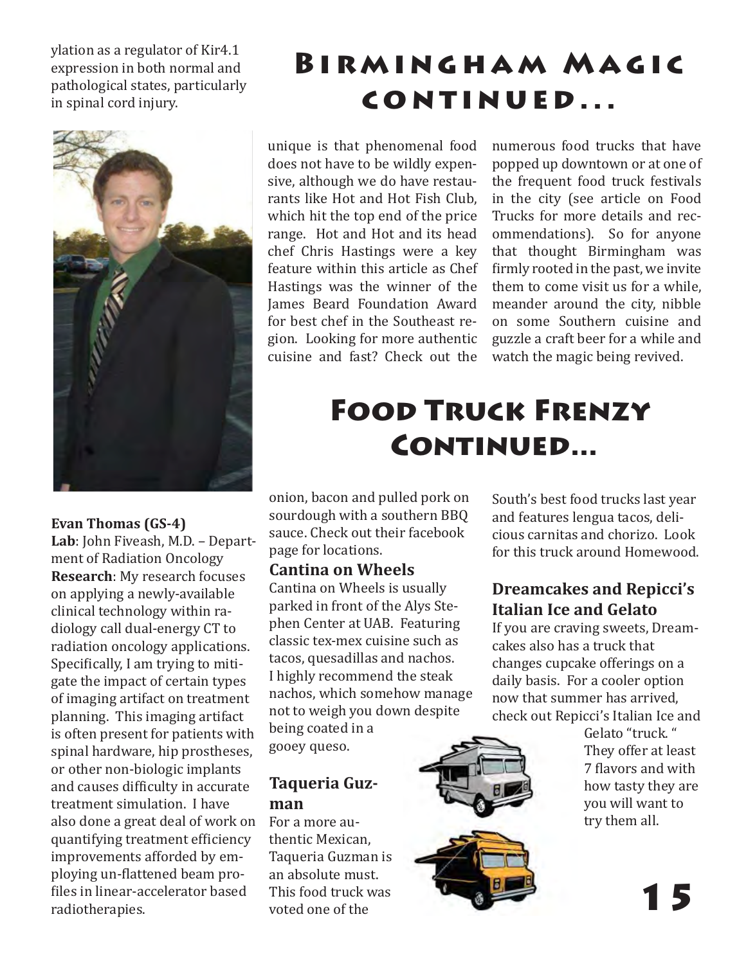ylation as a regulator of Kir4.1 expression in both normal and pathological states, particularly in spinal cord injury.



#### **Evan Thomas (GS-4)**

**Lab**: John Fiveash, M.D. – Department of Radiation Oncology **Research**: My research focuses on applying a newly-available clinical technology within radiology call dual-energy CT to radiation oncology applications. Specifically, I am trying to mitigate the impact of certain types of imaging artifact on treatment planning. This imaging artifact is often present for patients with spinal hardware, hip prostheses, or other non-biologic implants and causes difficulty in accurate treatment simulation. I have also done a great deal of work on quantifying treatment efficiency improvements afforded by employing un-flattened beam profiles in linear-accelerator based radiotherapies.

### BIRMINGHAM MAGIC continued...

unique is that phenomenal food does not have to be wildly expensive, although we do have restaurants like Hot and Hot Fish Club, which hit the top end of the price range. Hot and Hot and its head chef Chris Hastings were a key feature within this article as Chef Hastings was the winner of the James Beard Foundation Award for best chef in the Southeast region. Looking for more authentic cuisine and fast? Check out the

numerous food trucks that have popped up downtown or at one of the frequent food truck festivals in the city (see article on Food Trucks for more details and recommendations). So for anyone that thought Birmingham was firmly rooted in the past, we invite them to come visit us for a while, meander around the city, nibble on some Southern cuisine and guzzle a craft beer for a while and watch the magic being revived.

### Food Truck Frenzy CONTINUED...

onion, bacon and pulled pork on sourdough with a southern BBQ sauce. Check out their facebook page for locations.

#### **Cantina on Wheels**

Cantina on Wheels is usually parked in front of the Alys Stephen Center at UAB. Featuring classic tex-mex cuisine such as tacos, quesadillas and nachos. I highly recommend the steak nachos, which somehow manage not to weigh you down despite being coated in a

gooey queso.

#### **Taqueria Guzman**

For a more authentic Mexican, Taqueria Guzman is an absolute must. This food truck was voted one of the

South's best food trucks last year and features lengua tacos, delicious carnitas and chorizo. Look for this truck around Homewood.

#### **Dreamcakes and Repicci's Italian Ice and Gelato**

If you are craving sweets, Dreamcakes also has a truck that changes cupcake offerings on a daily basis. For a cooler option now that summer has arrived, check out Repicci's Italian Ice and

Gelato "truck. " They offer at least 7 flavors and with how tasty they are you will want to try them all.